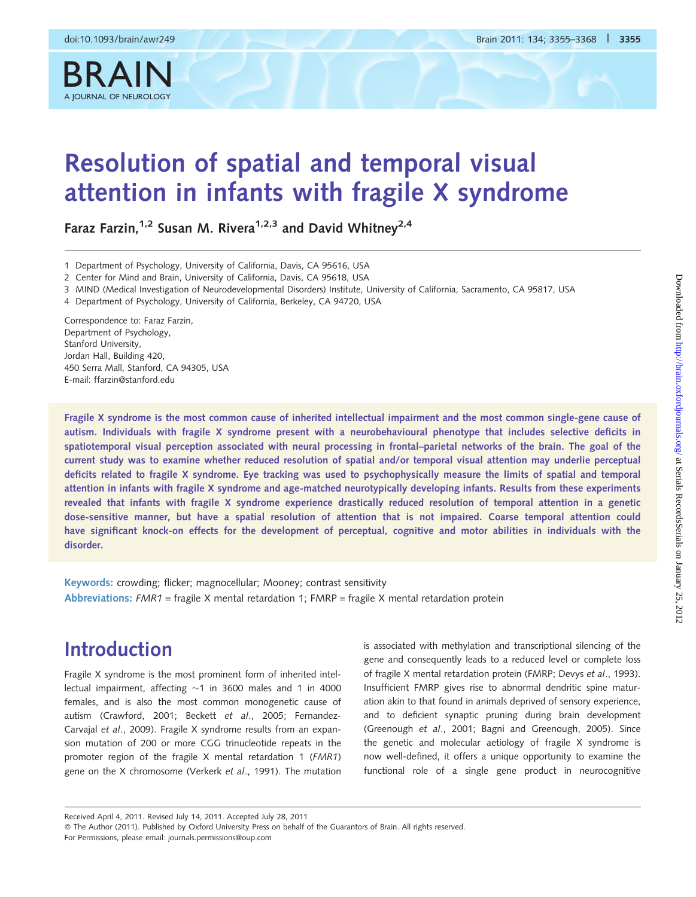BRAIN

# Resolution of spatial and temporal visual attention in infants with fragile X syndrome

Faraz Farzin,<sup>1,2</sup> Susan M. Rivera<sup>1,2,3</sup> and David Whitney<sup>2,4</sup>

- 2 Center for Mind and Brain, University of California, Davis, CA 95618, USA
- 3 MIND (Medical Investigation of Neurodevelopmental Disorders) Institute, University of California, Sacramento, CA 95817, USA
- 4 Department of Psychology, University of California, Berkeley, CA 94720, USA

Correspondence to: Faraz Farzin, Department of Psychology, Stanford University, Jordan Hall, Building 420, 450 Serra Mall, Stanford, CA 94305, USA E-mail: ffarzin@stanford.edu

Fragile X syndrome is the most common cause of inherited intellectual impairment and the most common single-gene cause of autism. Individuals with fragile X syndrome present with a neurobehavioural phenotype that includes selective deficits in spatiotemporal visual perception associated with neural processing in frontal–parietal networks of the brain. The goal of the current study was to examine whether reduced resolution of spatial and/or temporal visual attention may underlie perceptual deficits related to fragile X syndrome. Eye tracking was used to psychophysically measure the limits of spatial and temporal attention in infants with fragile X syndrome and age-matched neurotypically developing infants. Results from these experiments revealed that infants with fragile X syndrome experience drastically reduced resolution of temporal attention in a genetic dose-sensitive manner, but have a spatial resolution of attention that is not impaired. Coarse temporal attention could have significant knock-on effects for the development of perceptual, cognitive and motor abilities in individuals with the disorder.

Keywords: crowding; flicker; magnocellular; Mooney; contrast sensitivity Abbreviations:  $FMR1 = \text{fragile } X$  mental retardation 1;  $FMRP = \text{fragile } X$  mental retardation protein

# Introduction

Fragile X syndrome is the most prominent form of inherited intellectual impairment, affecting  $\sim$ 1 in 3600 males and 1 in 4000 females, and is also the most common monogenetic cause of autism ([Crawford, 2001;](#page-12-0) Beckett et al[., 2005; Fernandez-](#page-12-0)[Carvajal](#page-12-0) et al., 2009). Fragile X syndrome results from an expansion mutation of 200 or more CGG trinucleotide repeats in the promoter region of the fragile X mental retardation 1 (FMR1) gene on the X chromosome [\(Verkerk](#page-13-0) et al., 1991). The mutation is associated with methylation and transcriptional silencing of the gene and consequently leads to a reduced level or complete loss of fragile X mental retardation protein (FMRP; Devys et al[., 1993](#page-12-0)). Insufficient FMRP gives rise to abnormal dendritic spine maturation akin to that found in animals deprived of sensory experience, and to deficient synaptic pruning during brain development [\(Greenough](#page-12-0) et al., 2001; [Bagni and Greenough, 2005](#page-12-0)). Since the genetic and molecular aetiology of fragile X syndrome is now well-defined, it offers a unique opportunity to examine the functional role of a single gene product in neurocognitive

<sup>1</sup> Department of Psychology, University of California, Davis, CA 95616, USA

Received April 4, 2011. Revised July 14, 2011. Accepted July 28, 2011

<sup>©</sup> The Author (2011). Published by Oxford University Press on behalf of the Guarantors of Brain. All rights reserved. For Permissions, please email: journals.permissions@oup.com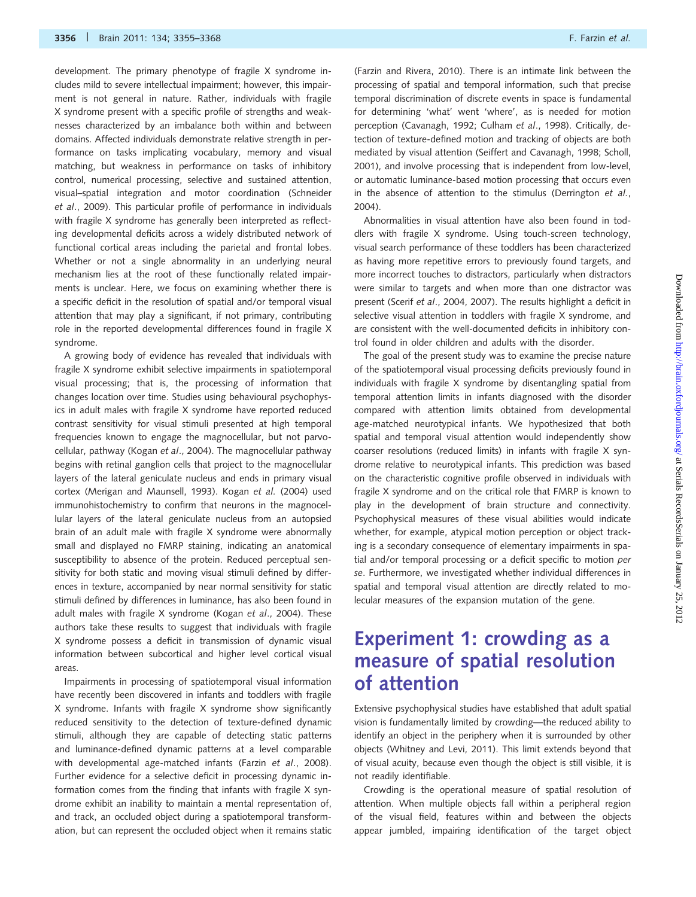development. The primary phenotype of fragile X syndrome includes mild to severe intellectual impairment; however, this impairment is not general in nature. Rather, individuals with fragile X syndrome present with a specific profile of strengths and weaknesses characterized by an imbalance both within and between domains. Affected individuals demonstrate relative strength in performance on tasks implicating vocabulary, memory and visual matching, but weakness in performance on tasks of inhibitory control, numerical processing, selective and sustained attention, visual–spatial integration and motor coordination ([Schneider](#page-13-0) et al[., 2009\)](#page-13-0). This particular profile of performance in individuals with fragile X syndrome has generally been interpreted as reflecting developmental deficits across a widely distributed network of functional cortical areas including the parietal and frontal lobes. Whether or not a single abnormality in an underlying neural mechanism lies at the root of these functionally related impairments is unclear. Here, we focus on examining whether there is a specific deficit in the resolution of spatial and/or temporal visual attention that may play a significant, if not primary, contributing role in the reported developmental differences found in fragile X syndrome.

A growing body of evidence has revealed that individuals with fragile X syndrome exhibit selective impairments in spatiotemporal visual processing; that is, the processing of information that changes location over time. Studies using behavioural psychophysics in adult males with fragile X syndrome have reported reduced contrast sensitivity for visual stimuli presented at high temporal frequencies known to engage the magnocellular, but not parvocellular, pathway (Kogan et al[., 2004\)](#page-13-0). The magnocellular pathway begins with retinal ganglion cells that project to the magnocellular layers of the lateral geniculate nucleus and ends in primary visual cortex [\(Merigan and Maunsell, 1993\)](#page-13-0). [Kogan](#page-13-0) et al. [\(2004\)](#page-13-0) used immunohistochemistry to confirm that neurons in the magnocellular layers of the lateral geniculate nucleus from an autopsied brain of an adult male with fragile X syndrome were abnormally small and displayed no FMRP staining, indicating an anatomical susceptibility to absence of the protein. Reduced perceptual sensitivity for both static and moving visual stimuli defined by differences in texture, accompanied by near normal sensitivity for static stimuli defined by differences in luminance, has also been found in adult males with fragile X syndrome (Kogan et al[., 2004](#page-13-0)). These authors take these results to suggest that individuals with fragile X syndrome possess a deficit in transmission of dynamic visual information between subcortical and higher level cortical visual areas.

Impairments in processing of spatiotemporal visual information have recently been discovered in infants and toddlers with fragile X syndrome. Infants with fragile X syndrome show significantly reduced sensitivity to the detection of texture-defined dynamic stimuli, although they are capable of detecting static patterns and luminance-defined dynamic patterns at a level comparable with developmental age-matched infants (Farzin et al[., 2008\)](#page-12-0). Further evidence for a selective deficit in processing dynamic information comes from the finding that infants with fragile X syndrome exhibit an inability to maintain a mental representation of, and track, an occluded object during a spatiotemporal transformation, but can represent the occluded object when it remains static ([Farzin and Rivera, 2010\)](#page-12-0). There is an intimate link between the processing of spatial and temporal information, such that precise temporal discrimination of discrete events in space is fundamental for determining 'what' went 'where', as is needed for motion perception ([Cavanagh, 1992; Culham](#page-12-0) et al., 1998). Critically, detection of texture-defined motion and tracking of objects are both mediated by visual attention ([Seiffert and Cavanagh, 1998](#page-13-0); [Scholl,](#page-13-0) [2001\)](#page-13-0), and involve processing that is independent from low-level, or automatic luminance-based motion processing that occurs even in the absence of attention to the stimulus ([Derrington](#page-12-0) et al., [2004\)](#page-12-0).

Abnormalities in visual attention have also been found in toddlers with fragile X syndrome. Using touch-screen technology, visual search performance of these toddlers has been characterized as having more repetitive errors to previously found targets, and more incorrect touches to distractors, particularly when distractors were similar to targets and when more than one distractor was present (Scerif et al[., 2004](#page-13-0), [2007](#page-13-0)). The results highlight a deficit in selective visual attention in toddlers with fragile X syndrome, and are consistent with the well-documented deficits in inhibitory control found in older children and adults with the disorder.

The goal of the present study was to examine the precise nature of the spatiotemporal visual processing deficits previously found in individuals with fragile X syndrome by disentangling spatial from temporal attention limits in infants diagnosed with the disorder compared with attention limits obtained from developmental age-matched neurotypical infants. We hypothesized that both spatial and temporal visual attention would independently show coarser resolutions (reduced limits) in infants with fragile X syndrome relative to neurotypical infants. This prediction was based on the characteristic cognitive profile observed in individuals with fragile X syndrome and on the critical role that FMRP is known to play in the development of brain structure and connectivity. Psychophysical measures of these visual abilities would indicate whether, for example, atypical motion perception or object tracking is a secondary consequence of elementary impairments in spatial and/or temporal processing or a deficit specific to motion per se. Furthermore, we investigated whether individual differences in spatial and temporal visual attention are directly related to molecular measures of the expansion mutation of the gene.

# Experiment 1: crowding as a measure of spatial resolution of attention

Extensive psychophysical studies have established that adult spatial vision is fundamentally limited by crowding—the reduced ability to identify an object in the periphery when it is surrounded by other objects ([Whitney and Levi, 2011\)](#page-13-0). This limit extends beyond that of visual acuity, because even though the object is still visible, it is not readily identifiable.

Crowding is the operational measure of spatial resolution of attention. When multiple objects fall within a peripheral region of the visual field, features within and between the objects appear jumbled, impairing identification of the target object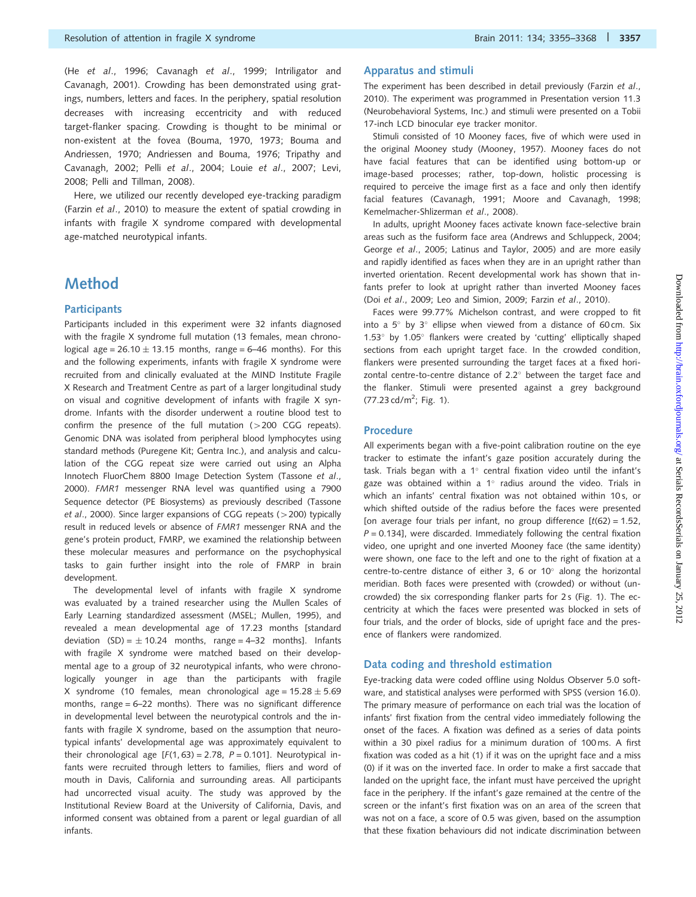(He et al[., 1996](#page-12-0); [Cavanagh](#page-12-0) et al., 1999; [Intriligator and](#page-13-0) [Cavanagh, 2001](#page-13-0)). Crowding has been demonstrated using gratings, numbers, letters and faces. In the periphery, spatial resolution decreases with increasing eccentricity and with reduced target-flanker spacing. Crowding is thought to be minimal or non-existent at the fovea ([Bouma, 1970](#page-12-0), [1973](#page-12-0); [Bouma and](#page-12-0) [Andriessen, 1970](#page-12-0); [Andriessen and Bouma, 1976](#page-12-0); [Tripathy and](#page-13-0) [Cavanagh, 2002;](#page-13-0) Pelli et al[., 2004](#page-13-0); Louie et al[., 2007; Levi,](#page-13-0) [2008](#page-13-0); [Pelli and Tillman, 2008\)](#page-13-0).

Here, we utilized our recently developed eye-tracking paradigm (Farzin et al[., 2010](#page-12-0)) to measure the extent of spatial crowding in infants with fragile X syndrome compared with developmental age-matched neurotypical infants.

# Method

### **Participants**

Participants included in this experiment were 32 infants diagnosed with the fragile X syndrome full mutation (13 females, mean chronological age =  $26.10 \pm 13.15$  months, range =  $6-46$  months). For this and the following experiments, infants with fragile X syndrome were recruited from and clinically evaluated at the MIND Institute Fragile X Research and Treatment Centre as part of a larger longitudinal study on visual and cognitive development of infants with fragile X syndrome. Infants with the disorder underwent a routine blood test to confirm the presence of the full mutation  $(>200$  CGG repeats). Genomic DNA was isolated from peripheral blood lymphocytes using standard methods (Puregene Kit; Gentra Inc.), and analysis and calculation of the CGG repeat size were carried out using an Alpha Innotech FluorChem 8800 Image Detection System ([Tassone](#page-13-0) et al., [2000](#page-13-0)). FMR1 messenger RNA level was quantified using a 7900 Sequence detector (PE Biosystems) as previously described [\(Tassone](#page-13-0) et al[., 2000\)](#page-13-0). Since larger expansions of CGG repeats ( $>$ 200) typically result in reduced levels or absence of FMR1 messenger RNA and the gene's protein product, FMRP, we examined the relationship between these molecular measures and performance on the psychophysical tasks to gain further insight into the role of FMRP in brain development.

The developmental level of infants with fragile X syndrome was evaluated by a trained researcher using the Mullen Scales of Early Learning standardized assessment (MSEL; [Mullen, 1995](#page-13-0)), and revealed a mean developmental age of 17.23 months [standard deviation  $(SD) = \pm 10.24$  months, range = 4-32 months]. Infants with fragile X syndrome were matched based on their developmental age to a group of 32 neurotypical infants, who were chronologically younger in age than the participants with fragile X syndrome (10 females, mean chronological age =  $15.28 \pm 5.69$ months, range = 6–22 months). There was no significant difference in developmental level between the neurotypical controls and the infants with fragile X syndrome, based on the assumption that neurotypical infants' developmental age was approximately equivalent to their chronological age  $[F(1, 63) = 2.78, P = 0.101]$ . Neurotypical infants were recruited through letters to families, fliers and word of mouth in Davis, California and surrounding areas. All participants had uncorrected visual acuity. The study was approved by the Institutional Review Board at the University of California, Davis, and informed consent was obtained from a parent or legal guardian of all infants.

#### Apparatus and stimuli

The experiment has been described in detail previously [\(Farzin](#page-12-0) et al., [2010](#page-12-0)). The experiment was programmed in Presentation version 11.3 (Neurobehavioral Systems, Inc.) and stimuli were presented on a Tobii 17-inch LCD binocular eye tracker monitor.

Stimuli consisted of 10 Mooney faces, five of which were used in the original Mooney study ([Mooney, 1957](#page-13-0)). Mooney faces do not have facial features that can be identified using bottom-up or image-based processes; rather, top-down, holistic processing is required to perceive the image first as a face and only then identify facial features ([Cavanagh, 1991;](#page-12-0) [Moore and Cavanagh, 1998](#page-13-0); [Kemelmacher-Shlizerman](#page-13-0) et al., 2008).

In adults, upright Mooney faces activate known face-selective brain areas such as the fusiform face area [\(Andrews and Schluppeck, 2004](#page-12-0); George et al[., 2005;](#page-12-0) [Latinus and Taylor, 2005](#page-13-0)) and are more easily and rapidly identified as faces when they are in an upright rather than inverted orientation. Recent developmental work has shown that infants prefer to look at upright rather than inverted Mooney faces (Doi et al[., 2009;](#page-12-0) [Leo and Simion, 2009;](#page-13-0) Farzin et al[., 2010\)](#page-12-0).

Faces were 99.77% Michelson contrast, and were cropped to fit into a  $5^{\circ}$  by  $3^{\circ}$  ellipse when viewed from a distance of 60 cm. Six 1.53 $^{\circ}$  by 1.05 $^{\circ}$  flankers were created by 'cutting' elliptically shaped sections from each upright target face. In the crowded condition, flankers were presented surrounding the target faces at a fixed horizontal centre-to-centre distance of  $2.2^{\circ}$  between the target face and the flanker. Stimuli were presented against a grey background  $(77.23 \text{ cd/m}^2; \text{ Fig. 1}).$  $(77.23 \text{ cd/m}^2; \text{ Fig. 1}).$  $(77.23 \text{ cd/m}^2; \text{ Fig. 1}).$ 

#### Procedure

All experiments began with a five-point calibration routine on the eye tracker to estimate the infant's gaze position accurately during the task. Trials began with a  $1^\circ$  central fixation video until the infant's gaze was obtained within a  $1^\circ$  radius around the video. Trials in which an infants' central fixation was not obtained within 10 s, or which shifted outside of the radius before the faces were presented [on average four trials per infant, no group difference  $[t(62) = 1.52]$ ,  $P = 0.134$ ], were discarded. Immediately following the central fixation video, one upright and one inverted Mooney face (the same identity) were shown, one face to the left and one to the right of fixation at a centre-to-centre distance of either 3, 6 or 10 $^{\circ}$  along the horizontal meridian. Both faces were presented with (crowded) or without (uncrowded) the six corresponding flanker parts for 2 s [\(Fig. 1\)](#page-3-0). The eccentricity at which the faces were presented was blocked in sets of four trials, and the order of blocks, side of upright face and the presence of flankers were randomized.

#### Data coding and threshold estimation

Eye-tracking data were coded offline using Noldus Observer 5.0 software, and statistical analyses were performed with SPSS (version 16.0). The primary measure of performance on each trial was the location of infants' first fixation from the central video immediately following the onset of the faces. A fixation was defined as a series of data points within a 30 pixel radius for a minimum duration of 100 ms. A first fixation was coded as a hit (1) if it was on the upright face and a miss (0) if it was on the inverted face. In order to make a first saccade that landed on the upright face, the infant must have perceived the upright face in the periphery. If the infant's gaze remained at the centre of the screen or the infant's first fixation was on an area of the screen that was not on a face, a score of 0.5 was given, based on the assumption that these fixation behaviours did not indicate discrimination between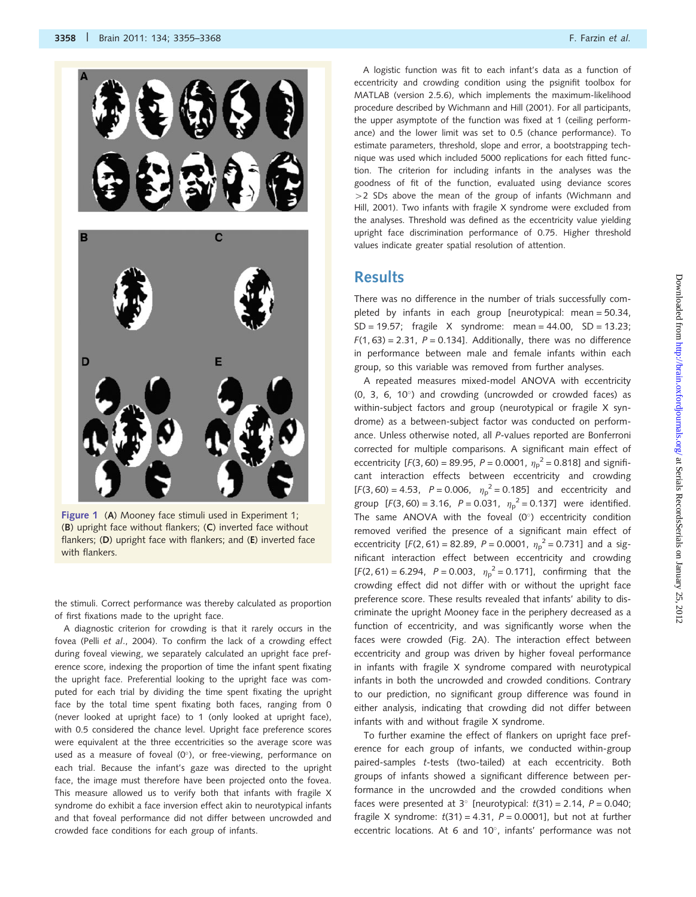<span id="page-3-0"></span>

Figure 1 (A) Mooney face stimuli used in Experiment 1; (B) upright face without flankers; (C) inverted face without flankers; (D) upright face with flankers; and (E) inverted face with flankers.

the stimuli. Correct performance was thereby calculated as proportion of first fixations made to the upright face.

A diagnostic criterion for crowding is that it rarely occurs in the fovea (Pelli et al[., 2004](#page-13-0)). To confirm the lack of a crowding effect during foveal viewing, we separately calculated an upright face preference score, indexing the proportion of time the infant spent fixating the upright face. Preferential looking to the upright face was computed for each trial by dividing the time spent fixating the upright face by the total time spent fixating both faces, ranging from 0 (never looked at upright face) to 1 (only looked at upright face), with 0.5 considered the chance level. Upright face preference scores were equivalent at the three eccentricities so the average score was used as a measure of foveal ( $0^{\circ}$ ), or free-viewing, performance on each trial. Because the infant's gaze was directed to the upright face, the image must therefore have been projected onto the fovea. This measure allowed us to verify both that infants with fragile X syndrome do exhibit a face inversion effect akin to neurotypical infants and that foveal performance did not differ between uncrowded and crowded face conditions for each group of infants.

A logistic function was fit to each infant's data as a function of eccentricity and crowding condition using the psignifit toolbox for MATLAB (version 2.5.6), which implements the maximum-likelihood procedure described by [Wichmann and Hill \(2001\)](#page-13-0). For all participants, the upper asymptote of the function was fixed at 1 (ceiling performance) and the lower limit was set to 0.5 (chance performance). To estimate parameters, threshold, slope and error, a bootstrapping technique was used which included 5000 replications for each fitted function. The criterion for including infants in the analyses was the goodness of fit of the function, evaluated using deviance scores  $>$  2 SDs above the mean of the group of infants ([Wichmann and](#page-13-0) [Hill, 2001](#page-13-0)). Two infants with fragile X syndrome were excluded from the analyses. Threshold was defined as the eccentricity value yielding upright face discrimination performance of 0.75. Higher threshold values indicate greater spatial resolution of attention.

### **Results**

There was no difference in the number of trials successfully completed by infants in each group [neurotypical: mean = 50.34, SD = 19.57; fragile X syndrome: mean = 44.00, SD = 13.23;  $F(1, 63) = 2.31$ ,  $P = 0.134$ ]. Additionally, there was no difference in performance between male and female infants within each group, so this variable was removed from further analyses.

A repeated measures mixed-model ANOVA with eccentricity  $(0, 3, 6, 10^{\circ})$  and crowding (uncrowded or crowded faces) as within-subject factors and group (neurotypical or fragile X syndrome) as a between-subject factor was conducted on performance. Unless otherwise noted, all P-values reported are Bonferroni corrected for multiple comparisons. A significant main effect of eccentricity [F(3, 60) = 89.95,  $P = 0.0001$ ,  $\eta_p^2 = 0.818$ ] and significant interaction effects between eccentricity and crowding  $[F(3, 60) = 4.53, P = 0.006, \eta_p^2 = 0.185]$  and eccentricity and group  $[F(3, 60) = 3.16, P = 0.031, \eta_p^2 = 0.137]$  were identified. The same ANOVA with the foveal  $(0^{\circ})$  eccentricity condition removed verified the presence of a significant main effect of eccentricity [F(2, 61) = 82.89, P = 0.0001,  $\eta_p^2$  = 0.731] and a significant interaction effect between eccentricity and crowding  $[F(2, 61) = 6.294, P = 0.003, \eta_p^2 = 0.171],$  confirming that the crowding effect did not differ with or without the upright face preference score. These results revealed that infants' ability to discriminate the upright Mooney face in the periphery decreased as a function of eccentricity, and was significantly worse when the faces were crowded ([Fig. 2A](#page-4-0)). The interaction effect between eccentricity and group was driven by higher foveal performance in infants with fragile X syndrome compared with neurotypical infants in both the uncrowded and crowded conditions. Contrary to our prediction, no significant group difference was found in either analysis, indicating that crowding did not differ between infants with and without fragile X syndrome.

To further examine the effect of flankers on upright face preference for each group of infants, we conducted within-group paired-samples t-tests (two-tailed) at each eccentricity. Both groups of infants showed a significant difference between performance in the uncrowded and the crowded conditions when faces were presented at  $3^\circ$  [neurotypical:  $t(31) = 2.14$ ,  $P = 0.040$ ; fragile X syndrome:  $t(31) = 4.31$ ,  $P = 0.0001$ ], but not at further eccentric locations. At 6 and 10 $^{\circ}$ , infants' performance was not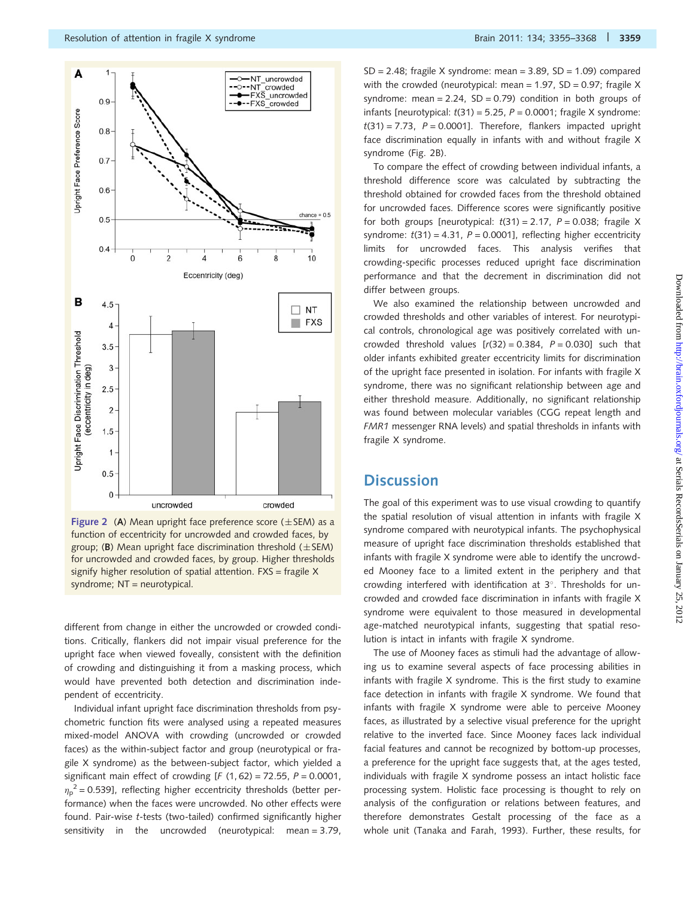<span id="page-4-0"></span>

Figure 2 (A) Mean upright face preference score ( $\pm$ SEM) as a function of eccentricity for uncrowded and crowded faces, by group; (B) Mean upright face discrimination threshold  $(\pm$  SEM) for uncrowded and crowded faces, by group. Higher thresholds signify higher resolution of spatial attention.  $FXS = \frac{1}{2}$  fragile X syndrome; NT = neurotypical.

different from change in either the uncrowded or crowded conditions. Critically, flankers did not impair visual preference for the upright face when viewed foveally, consistent with the definition of crowding and distinguishing it from a masking process, which would have prevented both detection and discrimination independent of eccentricity.

Individual infant upright face discrimination thresholds from psychometric function fits were analysed using a repeated measures mixed-model ANOVA with crowding (uncrowded or crowded faces) as the within-subject factor and group (neurotypical or fragile X syndrome) as the between-subject factor, which yielded a significant main effect of crowding  $[F (1, 62) = 72.55, P = 0.0001,$  $\eta_p^2$  = 0.539], reflecting higher eccentricity thresholds (better performance) when the faces were uncrowded. No other effects were found. Pair-wise t-tests (two-tailed) confirmed significantly higher sensitivity in the uncrowded (neurotypical: mean = 3.79,

 $SD = 2.48$ ; fragile X syndrome: mean  $= 3.89$ ,  $SD = 1.09$ ) compared with the crowded (neurotypical: mean =  $1.97$ , SD = 0.97; fragile X syndrome: mean =  $2.24$ , SD = 0.79) condition in both groups of infants [neurotypical:  $t(31) = 5.25$ ,  $P = 0.0001$ ; fragile X syndrome:  $t(31) = 7.73$ ,  $P = 0.0001$ ]. Therefore, flankers impacted upright face discrimination equally in infants with and without fragile X syndrome (Fig. 2B).

To compare the effect of crowding between individual infants, a threshold difference score was calculated by subtracting the threshold obtained for crowded faces from the threshold obtained for uncrowded faces. Difference scores were significantly positive for both groups [neurotypical:  $t(31) = 2.17$ ,  $P = 0.038$ ; fragile X syndrome:  $t(31) = 4.31$ ,  $P = 0.0001$ ], reflecting higher eccentricity limits for uncrowded faces. This analysis verifies that crowding-specific processes reduced upright face discrimination performance and that the decrement in discrimination did not differ between groups.

We also examined the relationship between uncrowded and crowded thresholds and other variables of interest. For neurotypical controls, chronological age was positively correlated with uncrowded threshold values  $[r(32) = 0.384, P = 0.030]$  such that older infants exhibited greater eccentricity limits for discrimination of the upright face presented in isolation. For infants with fragile X syndrome, there was no significant relationship between age and either threshold measure. Additionally, no significant relationship was found between molecular variables (CGG repeat length and FMR1 messenger RNA levels) and spatial thresholds in infants with fragile X syndrome.

### **Discussion**

The goal of this experiment was to use visual crowding to quantify the spatial resolution of visual attention in infants with fragile X syndrome compared with neurotypical infants. The psychophysical measure of upright face discrimination thresholds established that infants with fragile X syndrome were able to identify the uncrowded Mooney face to a limited extent in the periphery and that crowding interfered with identification at  $3^\circ$ . Thresholds for uncrowded and crowded face discrimination in infants with fragile X syndrome were equivalent to those measured in developmental age-matched neurotypical infants, suggesting that spatial resolution is intact in infants with fragile X syndrome.

The use of Mooney faces as stimuli had the advantage of allowing us to examine several aspects of face processing abilities in infants with fragile X syndrome. This is the first study to examine face detection in infants with fragile X syndrome. We found that infants with fragile X syndrome were able to perceive Mooney faces, as illustrated by a selective visual preference for the upright relative to the inverted face. Since Mooney faces lack individual facial features and cannot be recognized by bottom-up processes, a preference for the upright face suggests that, at the ages tested, individuals with fragile X syndrome possess an intact holistic face processing system. Holistic face processing is thought to rely on analysis of the configuration or relations between features, and therefore demonstrates Gestalt processing of the face as a whole unit [\(Tanaka and Farah, 1993](#page-13-0)). Further, these results, for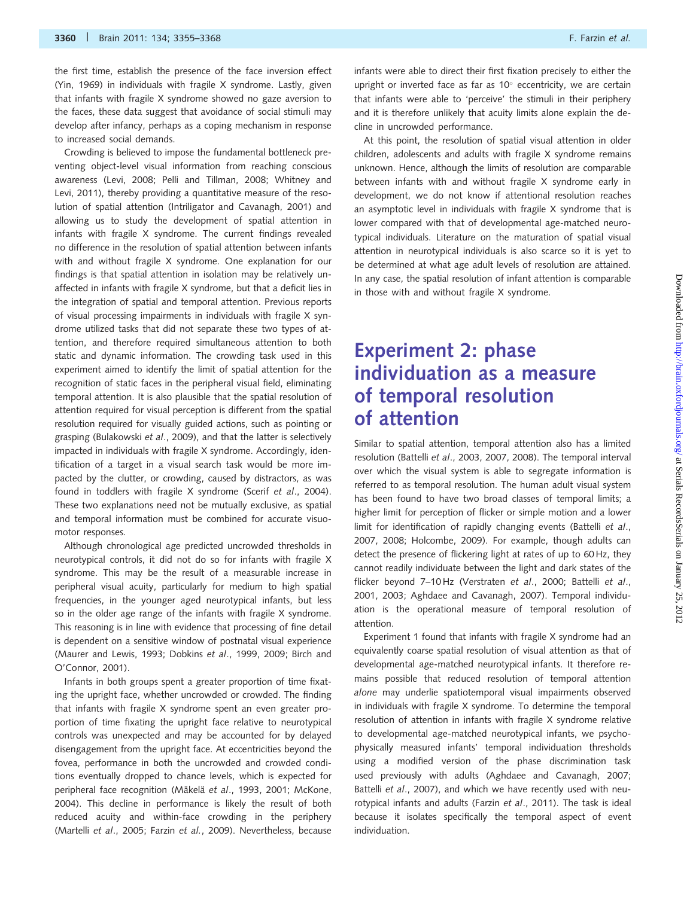the first time, establish the presence of the face inversion effect [\(Yin, 1969\)](#page-13-0) in individuals with fragile X syndrome. Lastly, given that infants with fragile X syndrome showed no gaze aversion to the faces, these data suggest that avoidance of social stimuli may develop after infancy, perhaps as a coping mechanism in response to increased social demands.

Crowding is believed to impose the fundamental bottleneck preventing object-level visual information from reaching conscious awareness ([Levi, 2008](#page-13-0); [Pelli and Tillman, 2008](#page-13-0); [Whitney and](#page-13-0) [Levi, 2011\)](#page-13-0), thereby providing a quantitative measure of the resolution of spatial attention ([Intriligator and Cavanagh, 2001\)](#page-13-0) and allowing us to study the development of spatial attention in infants with fragile X syndrome. The current findings revealed no difference in the resolution of spatial attention between infants with and without fragile X syndrome. One explanation for our findings is that spatial attention in isolation may be relatively unaffected in infants with fragile X syndrome, but that a deficit lies in the integration of spatial and temporal attention. Previous reports of visual processing impairments in individuals with fragile X syndrome utilized tasks that did not separate these two types of attention, and therefore required simultaneous attention to both static and dynamic information. The crowding task used in this experiment aimed to identify the limit of spatial attention for the recognition of static faces in the peripheral visual field, eliminating temporal attention. It is also plausible that the spatial resolution of attention required for visual perception is different from the spatial resolution required for visually guided actions, such as pointing or grasping ([Bulakowski](#page-12-0) et al., 2009), and that the latter is selectively impacted in individuals with fragile X syndrome. Accordingly, identification of a target in a visual search task would be more impacted by the clutter, or crowding, caused by distractors, as was found in toddlers with fragile X syndrome (Scerif et al[., 2004\)](#page-13-0). These two explanations need not be mutually exclusive, as spatial and temporal information must be combined for accurate visuomotor responses.

Although chronological age predicted uncrowded thresholds in neurotypical controls, it did not do so for infants with fragile X syndrome. This may be the result of a measurable increase in peripheral visual acuity, particularly for medium to high spatial frequencies, in the younger aged neurotypical infants, but less so in the older age range of the infants with fragile X syndrome. This reasoning is in line with evidence that processing of fine detail is dependent on a sensitive window of postnatal visual experience [\(Maurer and Lewis, 1993](#page-13-0); [Dobkins](#page-12-0) et al., 1999, [2009](#page-12-0); [Birch and](#page-12-0) [O'Connor, 2001](#page-12-0)).

Infants in both groups spent a greater proportion of time fixating the upright face, whether uncrowded or crowded. The finding that infants with fragile X syndrome spent an even greater proportion of time fixating the upright face relative to neurotypical controls was unexpected and may be accounted for by delayed disengagement from the upright face. At eccentricities beyond the fovea, performance in both the uncrowded and crowded conditions eventually dropped to chance levels, which is expected for peripheral face recognition (Mäkelä et al[., 1993](#page-13-0), [2001](#page-13-0); [McKone,](#page-13-0) [2004\)](#page-13-0). This decline in performance is likely the result of both reduced acuity and within-face crowding in the periphery [\(Martelli](#page-13-0) et al., 2005; Farzin et al.[, 2009](#page-12-0)). Nevertheless, because

infants were able to direct their first fixation precisely to either the upright or inverted face as far as  $10^\circ$  eccentricity, we are certain that infants were able to 'perceive' the stimuli in their periphery and it is therefore unlikely that acuity limits alone explain the decline in uncrowded performance.

At this point, the resolution of spatial visual attention in older children, adolescents and adults with fragile X syndrome remains unknown. Hence, although the limits of resolution are comparable between infants with and without fragile X syndrome early in development, we do not know if attentional resolution reaches an asymptotic level in individuals with fragile X syndrome that is lower compared with that of developmental age-matched neurotypical individuals. Literature on the maturation of spatial visual attention in neurotypical individuals is also scarce so it is yet to be determined at what age adult levels of resolution are attained. In any case, the spatial resolution of infant attention is comparable in those with and without fragile X syndrome.

# Experiment 2: phase individuation as a measure of temporal resolution of attention

Similar to spatial attention, temporal attention also has a limited resolution (Battelli et al[., 2003, 2007](#page-12-0), [2008](#page-12-0)). The temporal interval over which the visual system is able to segregate information is referred to as temporal resolution. The human adult visual system has been found to have two broad classes of temporal limits; a higher limit for perception of flicker or simple motion and a lower limit for identification of rapidly changing events ([Battelli](#page-12-0) et al., [2007, 2008](#page-12-0); [Holcombe, 2009\)](#page-13-0). For example, though adults can detect the presence of flickering light at rates of up to 60 Hz, they cannot readily individuate between the light and dark states of the flicker beyond 7–10 Hz ([Verstraten](#page-13-0) et al., 2000; [Battelli](#page-12-0) et al., [2001, 2003;](#page-12-0) [Aghdaee and Cavanagh, 2007](#page-11-0)). Temporal individuation is the operational measure of temporal resolution of attention.

Experiment 1 found that infants with fragile X syndrome had an equivalently coarse spatial resolution of visual attention as that of developmental age-matched neurotypical infants. It therefore remains possible that reduced resolution of temporal attention alone may underlie spatiotemporal visual impairments observed in individuals with fragile X syndrome. To determine the temporal resolution of attention in infants with fragile X syndrome relative to developmental age-matched neurotypical infants, we psychophysically measured infants' temporal individuation thresholds using a modified version of the phase discrimination task used previously with adults [\(Aghdaee and Cavanagh, 2007;](#page-11-0) Battelli et al[., 2007](#page-12-0)), and which we have recently used with neurotypical infants and adults (Farzin et al[., 2011](#page-12-0)). The task is ideal because it isolates specifically the temporal aspect of event individuation.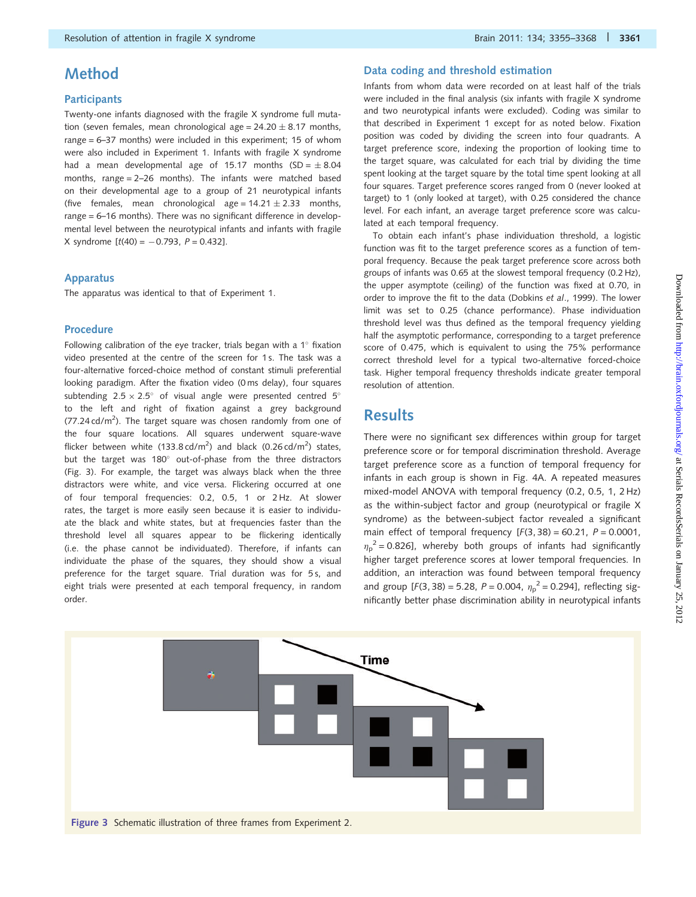## Method

### **Participants**

Twenty-one infants diagnosed with the fragile X syndrome full mutation (seven females, mean chronological age =  $24.20 \pm 8.17$  months, range = 6–37 months) were included in this experiment; 15 of whom were also included in Experiment 1. Infants with fragile X syndrome had a mean developmental age of 15.17 months  $(SD = \pm 8.04$ months, range = 2–26 months). The infants were matched based on their developmental age to a group of 21 neurotypical infants (five females, mean chronological age =  $14.21 \pm 2.33$  months, range = 6–16 months). There was no significant difference in developmental level between the neurotypical infants and infants with fragile X syndrome  $[t(40) = -0.793, P = 0.432]$ .

### Apparatus

The apparatus was identical to that of Experiment 1.

### Procedure

Following calibration of the eye tracker, trials began with a  $1^\circ$  fixation video presented at the centre of the screen for 1 s. The task was a four-alternative forced-choice method of constant stimuli preferential looking paradigm. After the fixation video (0 ms delay), four squares subtending  $2.5 \times 2.5^{\circ}$  of visual angle were presented centred  $5^{\circ}$ to the left and right of fixation against a grey background (77.24 cd/m<sup>2</sup>). The target square was chosen randomly from one of the four square locations. All squares underwent square-wave flicker between white (133.8 cd/m<sup>2</sup>) and black (0.26 cd/m<sup>2</sup>) states, but the target was 180 $^{\circ}$  out-of-phase from the three distractors (Fig. 3). For example, the target was always black when the three distractors were white, and vice versa. Flickering occurred at one of four temporal frequencies: 0.2, 0.5, 1 or 2 Hz. At slower rates, the target is more easily seen because it is easier to individuate the black and white states, but at frequencies faster than the threshold level all squares appear to be flickering identically (i.e. the phase cannot be individuated). Therefore, if infants can individuate the phase of the squares, they should show a visual preference for the target square. Trial duration was for 5s, and eight trials were presented at each temporal frequency, in random order.

#### Data coding and threshold estimation

Infants from whom data were recorded on at least half of the trials were included in the final analysis (six infants with fragile X syndrome and two neurotypical infants were excluded). Coding was similar to that described in Experiment 1 except for as noted below. Fixation position was coded by dividing the screen into four quadrants. A target preference score, indexing the proportion of looking time to the target square, was calculated for each trial by dividing the time spent looking at the target square by the total time spent looking at all four squares. Target preference scores ranged from 0 (never looked at target) to 1 (only looked at target), with 0.25 considered the chance level. For each infant, an average target preference score was calculated at each temporal frequency.

To obtain each infant's phase individuation threshold, a logistic function was fit to the target preference scores as a function of temporal frequency. Because the peak target preference score across both groups of infants was 0.65 at the slowest temporal frequency (0.2 Hz), the upper asymptote (ceiling) of the function was fixed at 0.70, in order to improve the fit to the data ([Dobkins](#page-12-0) et al., 1999). The lower limit was set to 0.25 (chance performance). Phase individuation threshold level was thus defined as the temporal frequency yielding half the asymptotic performance, corresponding to a target preference score of 0.475, which is equivalent to using the 75% performance correct threshold level for a typical two-alternative forced-choice task. Higher temporal frequency thresholds indicate greater temporal resolution of attention.

### **Results**

There were no significant sex differences within group for target preference score or for temporal discrimination threshold. Average target preference score as a function of temporal frequency for infants in each group is shown in [Fig. 4A](#page-7-0). A repeated measures mixed-model ANOVA with temporal frequency (0.2, 0.5, 1, 2 Hz) as the within-subject factor and group (neurotypical or fragile X syndrome) as the between-subject factor revealed a significant main effect of temporal frequency  $[F(3, 38) = 60.21, P = 0.0001,$  $\eta_p^2$  = 0.826], whereby both groups of infants had significantly higher target preference scores at lower temporal frequencies. In addition, an interaction was found between temporal frequency and group [F(3, 38) = 5.28,  $P = 0.004$ ,  $\eta_p^2 = 0.294$ ], reflecting significantly better phase discrimination ability in neurotypical infants

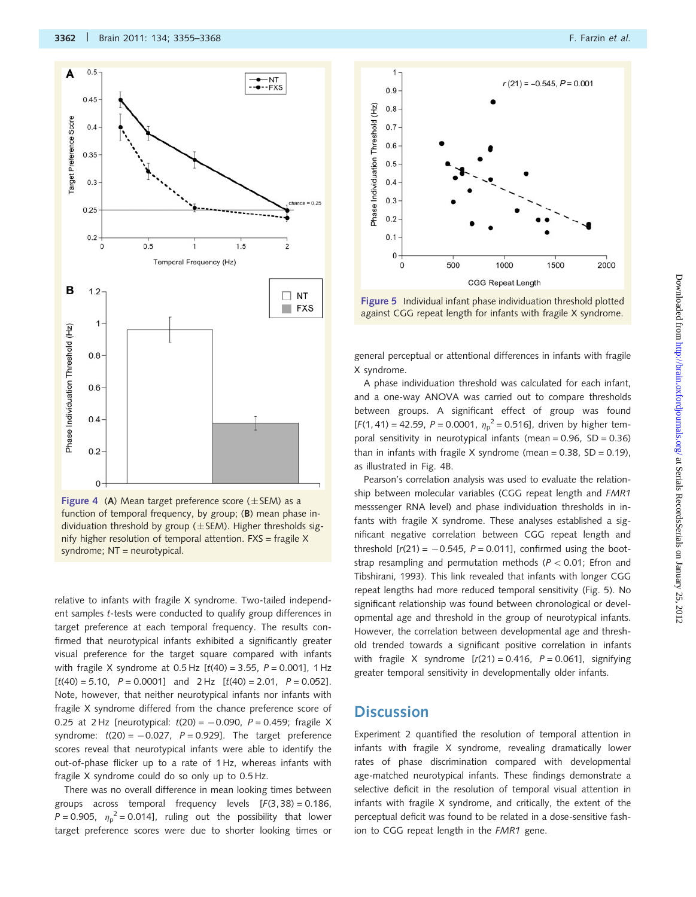<span id="page-7-0"></span>

Figure 4 (A) Mean target preference score  $(\pm$  SEM) as a function of temporal frequency, by group; (B) mean phase individuation threshold by group ( $\pm$ SEM). Higher thresholds signify higher resolution of temporal attention.  $FXS = \frac{1}{2}$  fragile X syndrome; NT = neurotypical.

relative to infants with fragile X syndrome. Two-tailed independent samples t-tests were conducted to qualify group differences in target preference at each temporal frequency. The results confirmed that neurotypical infants exhibited a significantly greater visual preference for the target square compared with infants with fragile X syndrome at  $0.5$  Hz  $[t(40) = 3.55, P = 0.001]$ , 1 Hz  $[t(40) = 5.10, P = 0.0001]$  and  $2 \text{ Hz}$   $[t(40) = 2.01, P = 0.052]$ . Note, however, that neither neurotypical infants nor infants with fragile X syndrome differed from the chance preference score of 0.25 at 2 Hz [neurotypical:  $t(20) = -0.090$ ,  $P = 0.459$ ; fragile X syndrome:  $t(20) = -0.027$ ,  $P = 0.929$ ]. The target preference scores reveal that neurotypical infants were able to identify the out-of-phase flicker up to a rate of 1 Hz, whereas infants with fragile X syndrome could do so only up to 0.5 Hz.

There was no overall difference in mean looking times between groups across temporal frequency levels  $[F(3, 38) = 0.186,$  $P = 0.905$ ,  $\eta_p^2 = 0.014$ ], ruling out the possibility that lower target preference scores were due to shorter looking times or



Figure 5 Individual infant phase individuation threshold plotted against CGG repeat length for infants with fragile X syndrome.

general perceptual or attentional differences in infants with fragile X syndrome.

A phase individuation threshold was calculated for each infant, and a one-way ANOVA was carried out to compare thresholds between groups. A significant effect of group was found  $[F(1, 41) = 42.59, P = 0.0001, \eta_p^2 = 0.516]$ , driven by higher temporal sensitivity in neurotypical infants (mean = 0.96, SD = 0.36) than in infants with fragile X syndrome (mean =  $0.38$ , SD =  $0.19$ ), as illustrated in Fig. 4B.

Pearson's correlation analysis was used to evaluate the relationship between molecular variables (CGG repeat length and FMR1 messsenger RNA level) and phase individuation thresholds in infants with fragile X syndrome. These analyses established a significant negative correlation between CGG repeat length and threshold  $[r(21) = -0.545, P = 0.011]$ , confirmed using the bootstrap resampling and permutation methods ( $P < 0.01$ ; [Efron and](#page-12-0) [Tibshirani, 1993](#page-12-0)). This link revealed that infants with longer CGG repeat lengths had more reduced temporal sensitivity (Fig. 5). No significant relationship was found between chronological or developmental age and threshold in the group of neurotypical infants. However, the correlation between developmental age and threshold trended towards a significant positive correlation in infants with fragile X syndrome  $[r(21) = 0.416, P = 0.061]$ , signifying greater temporal sensitivity in developmentally older infants.

### **Discussion**

Experiment 2 quantified the resolution of temporal attention in infants with fragile X syndrome, revealing dramatically lower rates of phase discrimination compared with developmental age-matched neurotypical infants. These findings demonstrate a selective deficit in the resolution of temporal visual attention in infants with fragile X syndrome, and critically, the extent of the perceptual deficit was found to be related in a dose-sensitive fashion to CGG repeat length in the FMR1 gene.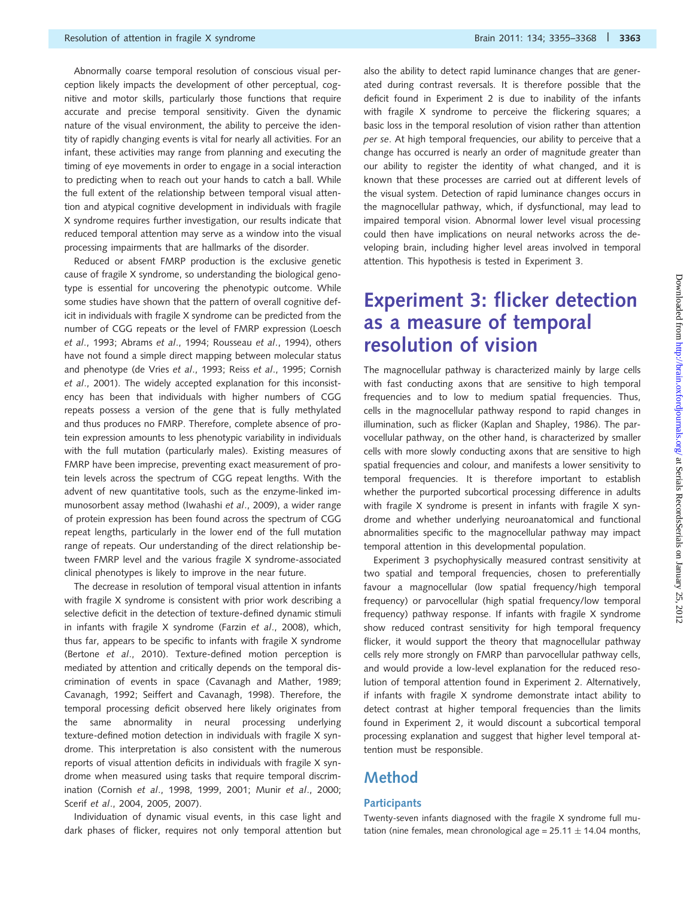Abnormally coarse temporal resolution of conscious visual perception likely impacts the development of other perceptual, cognitive and motor skills, particularly those functions that require accurate and precise temporal sensitivity. Given the dynamic nature of the visual environment, the ability to perceive the identity of rapidly changing events is vital for nearly all activities. For an infant, these activities may range from planning and executing the timing of eye movements in order to engage in a social interaction to predicting when to reach out your hands to catch a ball. While the full extent of the relationship between temporal visual attention and atypical cognitive development in individuals with fragile X syndrome requires further investigation, our results indicate that reduced temporal attention may serve as a window into the visual processing impairments that are hallmarks of the disorder.

Reduced or absent FMRP production is the exclusive genetic cause of fragile X syndrome, so understanding the biological genotype is essential for uncovering the phenotypic outcome. While some studies have shown that the pattern of overall cognitive deficit in individuals with fragile X syndrome can be predicted from the number of CGG repeats or the level of FMRP expression ([Loesch](#page-13-0) et al[., 1993;](#page-13-0) [Abrams](#page-11-0) et al., 1994; [Rousseau](#page-13-0) et al., 1994), others have not found a simple direct mapping between molecular status and phenotype ([de Vries](#page-12-0) et al., 1993; Reiss et al[., 1995](#page-13-0); [Cornish](#page-12-0) et al[., 2001](#page-12-0)). The widely accepted explanation for this inconsistency has been that individuals with higher numbers of CGG repeats possess a version of the gene that is fully methylated and thus produces no FMRP. Therefore, complete absence of protein expression amounts to less phenotypic variability in individuals with the full mutation (particularly males). Existing measures of FMRP have been imprecise, preventing exact measurement of protein levels across the spectrum of CGG repeat lengths. With the advent of new quantitative tools, such as the enzyme-linked immunosorbent assay method ([Iwahashi](#page-13-0) et al., 2009), a wider range of protein expression has been found across the spectrum of CGG repeat lengths, particularly in the lower end of the full mutation range of repeats. Our understanding of the direct relationship between FMRP level and the various fragile X syndrome-associated clinical phenotypes is likely to improve in the near future.

The decrease in resolution of temporal visual attention in infants with fragile X syndrome is consistent with prior work describing a selective deficit in the detection of texture-defined dynamic stimuli in infants with fragile X syndrome (Farzin et al[., 2008](#page-12-0)), which, thus far, appears to be specific to infants with fragile X syndrome (Bertone et al[., 2010](#page-12-0)). Texture-defined motion perception is mediated by attention and critically depends on the temporal discrimination of events in space [\(Cavanagh and Mather, 1989](#page-12-0); [Cavanagh, 1992;](#page-12-0) [Seiffert and Cavanagh, 1998\)](#page-13-0). Therefore, the temporal processing deficit observed here likely originates from the same abnormality in neural processing underlying texture-defined motion detection in individuals with fragile X syndrome. This interpretation is also consistent with the numerous reports of visual attention deficits in individuals with fragile X syndrome when measured using tasks that require temporal discrimination (Cornish et al[., 1998](#page-12-0), [1999, 2001](#page-12-0); Munir et al[., 2000](#page-13-0); Scerif et al[., 2004, 2005](#page-13-0), [2007\)](#page-13-0).

Individuation of dynamic visual events, in this case light and dark phases of flicker, requires not only temporal attention but also the ability to detect rapid luminance changes that are generated during contrast reversals. It is therefore possible that the deficit found in Experiment 2 is due to inability of the infants with fragile X syndrome to perceive the flickering squares; a basic loss in the temporal resolution of vision rather than attention per se. At high temporal frequencies, our ability to perceive that a change has occurred is nearly an order of magnitude greater than our ability to register the identity of what changed, and it is known that these processes are carried out at different levels of the visual system. Detection of rapid luminance changes occurs in the magnocellular pathway, which, if dysfunctional, may lead to impaired temporal vision. Abnormal lower level visual processing could then have implications on neural networks across the developing brain, including higher level areas involved in temporal attention. This hypothesis is tested in Experiment 3.

# Experiment 3: flicker detection as a measure of temporal resolution of vision

The magnocellular pathway is characterized mainly by large cells with fast conducting axons that are sensitive to high temporal frequencies and to low to medium spatial frequencies. Thus, cells in the magnocellular pathway respond to rapid changes in illumination, such as flicker ([Kaplan and Shapley, 1986](#page-13-0)). The parvocellular pathway, on the other hand, is characterized by smaller cells with more slowly conducting axons that are sensitive to high spatial frequencies and colour, and manifests a lower sensitivity to temporal frequencies. It is therefore important to establish whether the purported subcortical processing difference in adults with fragile X syndrome is present in infants with fragile X syndrome and whether underlying neuroanatomical and functional abnormalities specific to the magnocellular pathway may impact temporal attention in this developmental population.

Experiment 3 psychophysically measured contrast sensitivity at two spatial and temporal frequencies, chosen to preferentially favour a magnocellular (low spatial frequency/high temporal frequency) or parvocellular (high spatial frequency/low temporal frequency) pathway response. If infants with fragile X syndrome show reduced contrast sensitivity for high temporal frequency flicker, it would support the theory that magnocellular pathway cells rely more strongly on FMRP than parvocellular pathway cells, and would provide a low-level explanation for the reduced resolution of temporal attention found in Experiment 2. Alternatively, if infants with fragile X syndrome demonstrate intact ability to detect contrast at higher temporal frequencies than the limits found in Experiment 2, it would discount a subcortical temporal processing explanation and suggest that higher level temporal attention must be responsible.

# Method

### **Participants**

Twenty-seven infants diagnosed with the fragile X syndrome full mutation (nine females, mean chronological age =  $25.11 \pm 14.04$  months,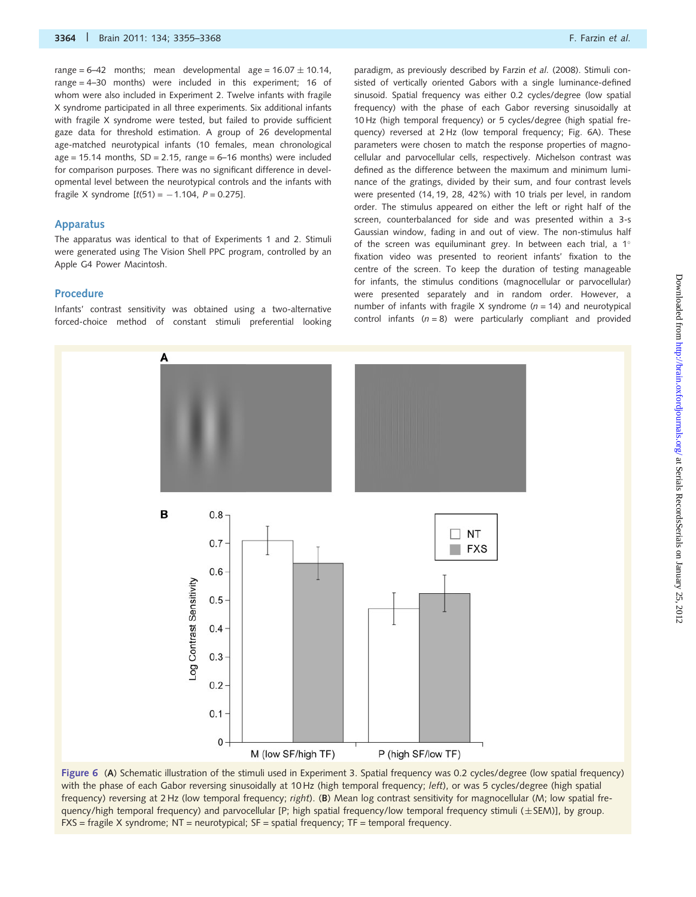<span id="page-9-0"></span>range = 6–42 months; mean developmental age =  $16.07 \pm 10.14$ , range = 4–30 months) were included in this experiment; 16 of whom were also included in Experiment 2. Twelve infants with fragile X syndrome participated in all three experiments. Six additional infants with fragile X syndrome were tested, but failed to provide sufficient gaze data for threshold estimation. A group of 26 developmental age-matched neurotypical infants (10 females, mean chronological age =  $15.14$  months,  $SD = 2.15$ , range =  $6-16$  months) were included for comparison purposes. There was no significant difference in developmental level between the neurotypical controls and the infants with fragile X syndrome  $[t(51) = -1.104, P = 0.275]$ .

#### Apparatus

The apparatus was identical to that of Experiments 1 and 2. Stimuli were generated using The Vision Shell PPC program, controlled by an Apple G4 Power Macintosh.

#### Procedure

Infants' contrast sensitivity was obtained using a two-alternative forced-choice method of constant stimuli preferential looking paradigm, as previously described by [Farzin](#page-12-0) et al. [\(2008\).](#page-12-0) Stimuli consisted of vertically oriented Gabors with a single luminance-defined sinusoid. Spatial frequency was either 0.2 cycles/degree (low spatial frequency) with the phase of each Gabor reversing sinusoidally at 10 Hz (high temporal frequency) or 5 cycles/degree (high spatial frequency) reversed at 2 Hz (low temporal frequency; Fig. 6A). These parameters were chosen to match the response properties of magnocellular and parvocellular cells, respectively. Michelson contrast was defined as the difference between the maximum and minimum luminance of the gratings, divided by their sum, and four contrast levels were presented (14, 19, 28, 42%) with 10 trials per level, in random order. The stimulus appeared on either the left or right half of the screen, counterbalanced for side and was presented within a 3-s Gaussian window, fading in and out of view. The non-stimulus half of the screen was equiluminant grey. In between each trial, a  $1^\circ$ fixation video was presented to reorient infants' fixation to the centre of the screen. To keep the duration of testing manageable for infants, the stimulus conditions (magnocellular or parvocellular) were presented separately and in random order. However, a number of infants with fragile X syndrome ( $n = 14$ ) and neurotypical control infants ( $n = 8$ ) were particularly compliant and provided



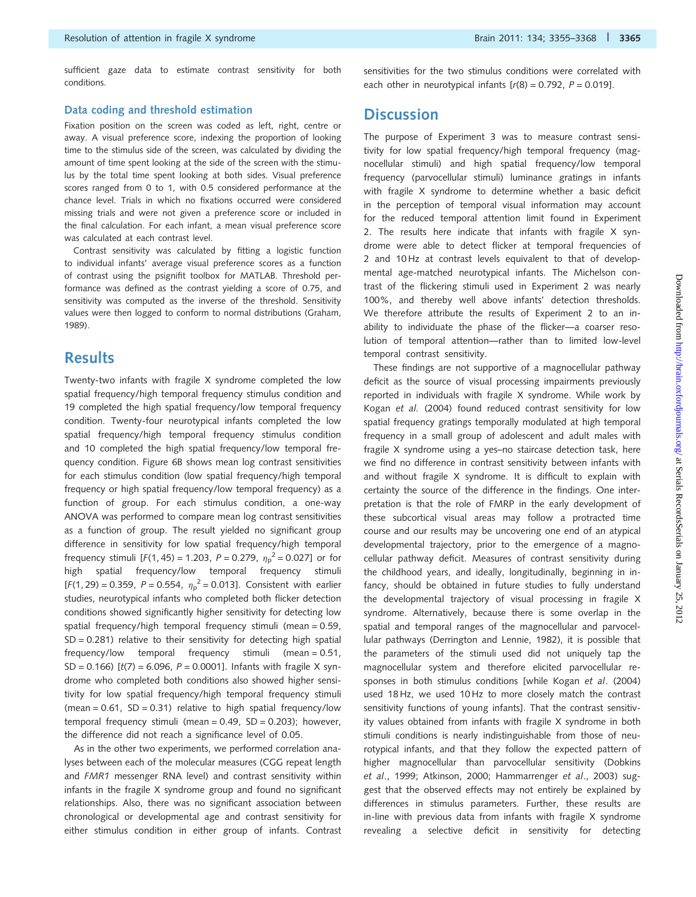sufficient gaze data to estimate contrast sensitivity for both conditions.

#### Data coding and threshold estimation

Fixation position on the screen was coded as left, right, centre or away. A visual preference score, indexing the proportion of looking time to the stimulus side of the screen, was calculated by dividing the amount of time spent looking at the side of the screen with the stimulus by the total time spent looking at both sides. Visual preference scores ranged from 0 to 1, with 0.5 considered performance at the chance level. Trials in which no fixations occurred were considered missing trials and were not given a preference score or included in the final calculation. For each infant, a mean visual preference score was calculated at each contrast level.

Contrast sensitivity was calculated by fitting a logistic function to individual infants' average visual preference scores as a function of contrast using the psignifit toolbox for MATLAB. Threshold performance was defined as the contrast yielding a score of 0.75, and sensitivity was computed as the inverse of the threshold. Sensitivity values were then logged to conform to normal distributions ([Graham,](#page-12-0) [1989](#page-12-0)).

### **Results**

Twenty-two infants with fragile X syndrome completed the low spatial frequency/high temporal frequency stimulus condition and 19 completed the high spatial frequency/low temporal frequency condition. Twenty-four neurotypical infants completed the low spatial frequency/high temporal frequency stimulus condition and 10 completed the high spatial frequency/low temporal frequency condition. [Figure 6](#page-9-0)B shows mean log contrast sensitivities for each stimulus condition (low spatial frequency/high temporal frequency or high spatial frequency/low temporal frequency) as a function of group. For each stimulus condition, a one-way ANOVA was performed to compare mean log contrast sensitivities as a function of group. The result yielded no significant group difference in sensitivity for low spatial frequency/high temporal frequency stimuli [F(1, 45) = 1.203, P = 0.279,  $\eta_p^2$  = 0.027] or for high spatial frequency/low temporal frequency stimuli [ $F(1, 29) = 0.359$ ,  $P = 0.554$ ,  $\eta_p^2 = 0.013$ ]. Consistent with earlier studies, neurotypical infants who completed both flicker detection conditions showed significantly higher sensitivity for detecting low spatial frequency/high temporal frequency stimuli (mean = 0.59,  $SD = 0.281$ ) relative to their sensitivity for detecting high spatial frequency/low temporal frequency stimuli (mean = 0.51,  $SD = 0.166$ )  $[t(7) = 6.096, P = 0.0001]$ . Infants with fragile X syndrome who completed both conditions also showed higher sensitivity for low spatial frequency/high temporal frequency stimuli (mean =  $0.61$ , SD =  $0.31$ ) relative to high spatial frequency/low temporal frequency stimuli (mean =  $0.49$ , SD =  $0.203$ ); however, the difference did not reach a significance level of 0.05.

As in the other two experiments, we performed correlation analyses between each of the molecular measures (CGG repeat length and FMR1 messenger RNA level) and contrast sensitivity within infants in the fragile X syndrome group and found no significant relationships. Also, there was no significant association between chronological or developmental age and contrast sensitivity for either stimulus condition in either group of infants. Contrast sensitivities for the two stimulus conditions were correlated with each other in neurotypical infants  $[r(8) = 0.792, P = 0.019]$ .

### **Discussion**

The purpose of Experiment 3 was to measure contrast sensitivity for low spatial frequency/high temporal frequency (magnocellular stimuli) and high spatial frequency/low temporal frequency (parvocellular stimuli) luminance gratings in infants with fragile X syndrome to determine whether a basic deficit in the perception of temporal visual information may account for the reduced temporal attention limit found in Experiment 2. The results here indicate that infants with fragile X syndrome were able to detect flicker at temporal frequencies of 2 and 10 Hz at contrast levels equivalent to that of developmental age-matched neurotypical infants. The Michelson contrast of the flickering stimuli used in Experiment 2 was nearly 100%, and thereby well above infants' detection thresholds. We therefore attribute the results of Experiment 2 to an inability to individuate the phase of the flicker—a coarser resolution of temporal attention—rather than to limited low-level temporal contrast sensitivity.

These findings are not supportive of a magnocellular pathway deficit as the source of visual processing impairments previously reported in individuals with fragile X syndrome. While work by [Kogan](#page-13-0) et al. [\(2004\)](#page-13-0) found reduced contrast sensitivity for low spatial frequency gratings temporally modulated at high temporal frequency in a small group of adolescent and adult males with fragile X syndrome using a yes–no staircase detection task, here we find no difference in contrast sensitivity between infants with and without fragile X syndrome. It is difficult to explain with certainty the source of the difference in the findings. One interpretation is that the role of FMRP in the early development of these subcortical visual areas may follow a protracted time course and our results may be uncovering one end of an atypical developmental trajectory, prior to the emergence of a magnocellular pathway deficit. Measures of contrast sensitivity during the childhood years, and ideally, longitudinally, beginning in infancy, should be obtained in future studies to fully understand the developmental trajectory of visual processing in fragile X syndrome. Alternatively, because there is some overlap in the spatial and temporal ranges of the magnocellular and parvocellular pathways [\(Derrington and Lennie, 1982\)](#page-12-0), it is possible that the parameters of the stimuli used did not uniquely tap the magnocellular system and therefore elicited parvocellular responses in both stimulus conditions [while Kogan et al[. \(2004\)](#page-13-0) used 18 Hz, we used 10 Hz to more closely match the contrast sensitivity functions of young infants]. That the contrast sensitivity values obtained from infants with fragile X syndrome in both stimuli conditions is nearly indistinguishable from those of neurotypical infants, and that they follow the expected pattern of higher magnocellular than parvocellular sensitivity [\(Dobkins](#page-12-0) et al[., 1999](#page-12-0); [Atkinson, 2000](#page-12-0); [Hammarrenger](#page-12-0) et al., 2003) suggest that the observed effects may not entirely be explained by differences in stimulus parameters. Further, these results are in-line with previous data from infants with fragile X syndrome revealing a selective deficit in sensitivity for detecting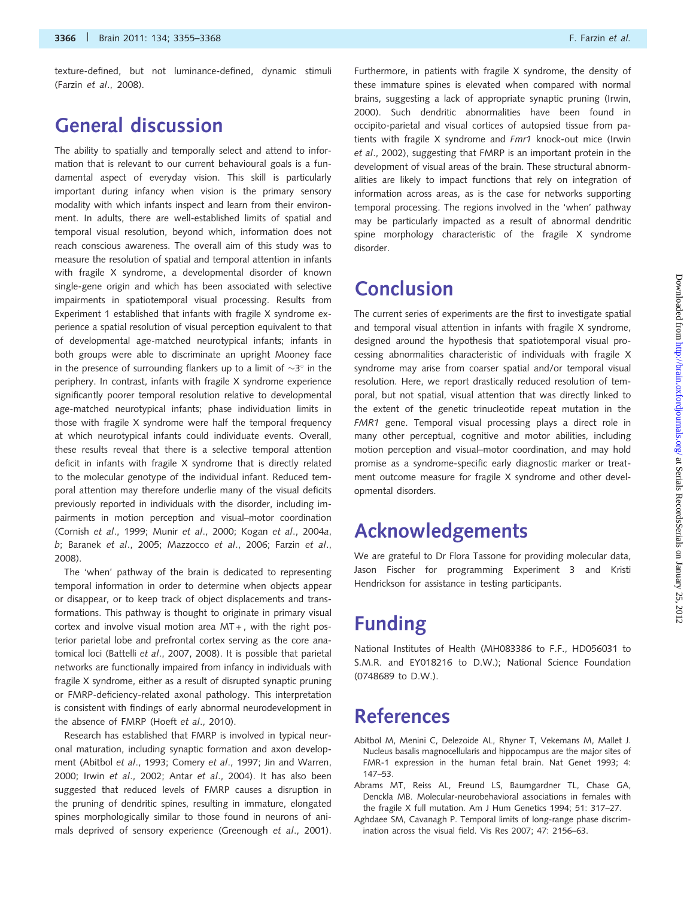<span id="page-11-0"></span>texture-defined, but not luminance-defined, dynamic stimuli (Farzin et al[., 2008\)](#page-12-0).

# General discussion

The ability to spatially and temporally select and attend to information that is relevant to our current behavioural goals is a fundamental aspect of everyday vision. This skill is particularly important during infancy when vision is the primary sensory modality with which infants inspect and learn from their environment. In adults, there are well-established limits of spatial and temporal visual resolution, beyond which, information does not reach conscious awareness. The overall aim of this study was to measure the resolution of spatial and temporal attention in infants with fragile X syndrome, a developmental disorder of known single-gene origin and which has been associated with selective impairments in spatiotemporal visual processing. Results from Experiment 1 established that infants with fragile X syndrome experience a spatial resolution of visual perception equivalent to that of developmental age-matched neurotypical infants; infants in both groups were able to discriminate an upright Mooney face in the presence of surrounding flankers up to a limit of  $\sim$ 3 $^{\circ}$  in the periphery. In contrast, infants with fragile X syndrome experience significantly poorer temporal resolution relative to developmental age-matched neurotypical infants; phase individuation limits in those with fragile X syndrome were half the temporal frequency at which neurotypical infants could individuate events. Overall, these results reveal that there is a selective temporal attention deficit in infants with fragile X syndrome that is directly related to the molecular genotype of the individual infant. Reduced temporal attention may therefore underlie many of the visual deficits previously reported in individuals with the disorder, including impairments in motion perception and visual–motor coordination [\(Cornish](#page-12-0) et al., 1999; Munir et al[., 2000](#page-13-0); Kogan et al[., 2004](#page-13-0)a, [b](#page-13-0); [Baranek](#page-12-0) et al., 2005; [Mazzocco](#page-13-0) et al., 2006; [Farzin](#page-12-0) et al., [2008\)](#page-12-0).

The 'when' pathway of the brain is dedicated to representing temporal information in order to determine when objects appear or disappear, or to keep track of object displacements and transformations. This pathway is thought to originate in primary visual cortex and involve visual motion area MT + , with the right posterior parietal lobe and prefrontal cortex serving as the core anatomical loci (Battelli et al[., 2007, 2008\)](#page-12-0). It is possible that parietal networks are functionally impaired from infancy in individuals with fragile X syndrome, either as a result of disrupted synaptic pruning or FMRP-deficiency-related axonal pathology. This interpretation is consistent with findings of early abnormal neurodevelopment in the absence of FMRP (Hoeft et al[., 2010\)](#page-12-0).

Research has established that FMRP is involved in typical neuronal maturation, including synaptic formation and axon development (Abitbol et al., 1993; [Comery](#page-12-0) et al., 1997; [Jin and Warren,](#page-13-0) [2000;](#page-13-0) Irwin et al[., 2002;](#page-13-0) Antar et al[., 2004\)](#page-12-0). It has also been suggested that reduced levels of FMRP causes a disruption in the pruning of dendritic spines, resulting in immature, elongated spines morphologically similar to those found in neurons of animals deprived of sensory experience [\(Greenough](#page-12-0) et al., 2001).

Furthermore, in patients with fragile X syndrome, the density of these immature spines is elevated when compared with normal brains, suggesting a lack of appropriate synaptic pruning [\(Irwin,](#page-13-0) [2000\)](#page-13-0). Such dendritic abnormalities have been found in occipito-parietal and visual cortices of autopsied tissue from patients with fragile X syndrome and Fmr1 knock-out mice ([Irwin](#page-13-0) et al[., 2002](#page-13-0)), suggesting that FMRP is an important protein in the development of visual areas of the brain. These structural abnormalities are likely to impact functions that rely on integration of information across areas, as is the case for networks supporting temporal processing. The regions involved in the 'when' pathway may be particularly impacted as a result of abnormal dendritic spine morphology characteristic of the fragile X syndrome disorder.

# **Conclusion**

The current series of experiments are the first to investigate spatial and temporal visual attention in infants with fragile X syndrome, designed around the hypothesis that spatiotemporal visual processing abnormalities characteristic of individuals with fragile X syndrome may arise from coarser spatial and/or temporal visual resolution. Here, we report drastically reduced resolution of temporal, but not spatial, visual attention that was directly linked to the extent of the genetic trinucleotide repeat mutation in the FMR1 gene. Temporal visual processing plays a direct role in many other perceptual, cognitive and motor abilities, including motion perception and visual–motor coordination, and may hold promise as a syndrome-specific early diagnostic marker or treatment outcome measure for fragile X syndrome and other developmental disorders.

# Acknowledgements

We are grateful to Dr Flora Tassone for providing molecular data, Jason Fischer for programming Experiment 3 and Kristi Hendrickson for assistance in testing participants.

# Funding

National Institutes of Health (MH083386 to F.F., HD056031 to S.M.R. and EY018216 to D.W.); National Science Foundation (0748689 to D.W.).

# References

- Abitbol M, Menini C, Delezoide AL, Rhyner T, Vekemans M, Mallet J. Nucleus basalis magnocellularis and hippocampus are the major sites of FMR-1 expression in the human fetal brain. Nat Genet 1993; 4: 147–53.
- Abrams MT, Reiss AL, Freund LS, Baumgardner TL, Chase GA, Denckla MB. Molecular-neurobehavioral associations in females with the fragile X full mutation. Am J Hum Genetics 1994; 51: 317–27.
- Aghdaee SM, Cavanagh P. Temporal limits of long-range phase discrimination across the visual field. Vis Res 2007; 47: 2156–63.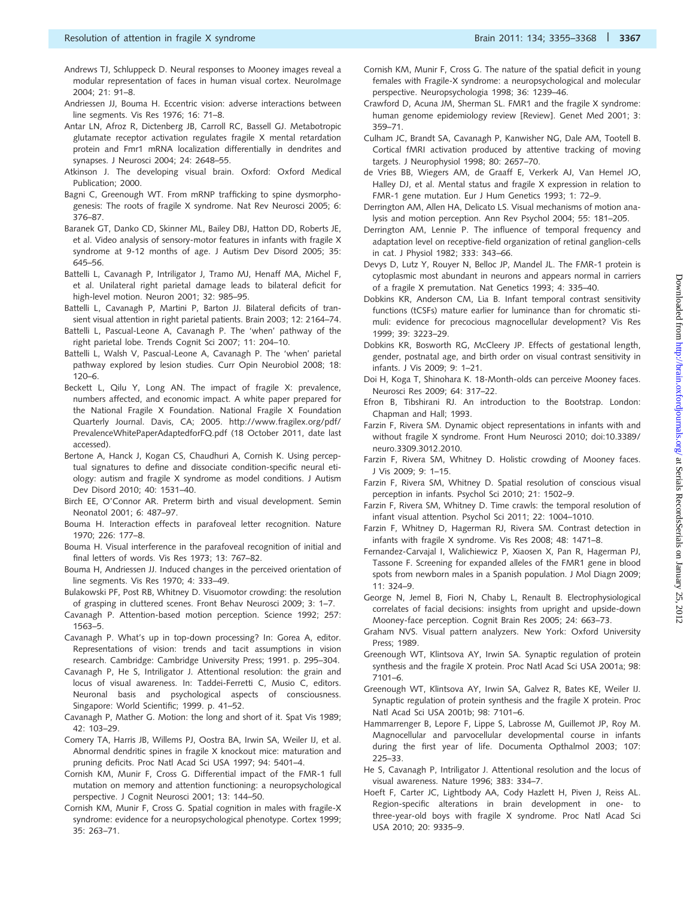- <span id="page-12-0"></span>Andrews TJ, Schluppeck D. Neural responses to Mooney images reveal a modular representation of faces in human visual cortex. NeuroImage 2004; 21: 91–8.
- Andriessen JJ, Bouma H. Eccentric vision: adverse interactions between line segments. Vis Res 1976; 16: 71–8.
- Antar LN, Afroz R, Dictenberg JB, Carroll RC, Bassell GJ. Metabotropic glutamate receptor activation regulates fragile X mental retardation protein and Fmr1 mRNA localization differentially in dendrites and synapses. J Neurosci 2004; 24: 2648–55.
- Atkinson J. The developing visual brain. Oxford: Oxford Medical Publication; 2000.
- Bagni C, Greenough WT. From mRNP trafficking to spine dysmorphogenesis: The roots of fragile X syndrome. Nat Rev Neurosci 2005; 6: 376–87.
- Baranek GT, Danko CD, Skinner ML, Bailey DBJ, Hatton DD, Roberts JE, et al. Video analysis of sensory-motor features in infants with fragile X syndrome at 9-12 months of age. J Autism Dev Disord 2005; 35: 645–56.
- Battelli L, Cavanagh P, Intriligator J, Tramo MJ, Henaff MA, Michel F, et al. Unilateral right parietal damage leads to bilateral deficit for high-level motion. Neuron 2001; 32: 985–95.
- Battelli L, Cavanagh P, Martini P, Barton JJ. Bilateral deficits of transient visual attention in right parietal patients. Brain 2003; 12: 2164–74.
- Battelli L, Pascual-Leone A, Cavanagh P. The 'when' pathway of the right parietal lobe. Trends Cognit Sci 2007; 11: 204–10.
- Battelli L, Walsh V, Pascual-Leone A, Cavanagh P. The 'when' parietal pathway explored by lesion studies. Curr Opin Neurobiol 2008; 18: 120–6.
- Beckett L, Qilu Y, Long AN. The impact of fragile X: prevalence, numbers affected, and economic impact. A white paper prepared for the National Fragile X Foundation. National Fragile X Foundation Quarterly Journal. Davis, CA; 2005. [http://www.fragilex.org/pdf/](http://www.fragilex.org/pdf/PrevalenceWhitePaperAdaptedforFQ.pdf) [PrevalenceWhitePaperAdaptedforFQ.pdf](http://www.fragilex.org/pdf/PrevalenceWhitePaperAdaptedforFQ.pdf) (18 October 2011, date last accessed).
- Bertone A, Hanck J, Kogan CS, Chaudhuri A, Cornish K. Using perceptual signatures to define and dissociate condition-specific neural etiology: autism and fragile X syndrome as model conditions. J Autism Dev Disord 2010; 40: 1531–40.
- Birch EE, O'Connor AR. Preterm birth and visual development. Semin Neonatol 2001; 6: 487–97.
- Bouma H. Interaction effects in parafoveal letter recognition. Nature 1970; 226: 177–8.
- Bouma H. Visual interference in the parafoveal recognition of initial and final letters of words. Vis Res 1973; 13: 767–82.
- Bouma H, Andriessen JJ. Induced changes in the perceived orientation of line segments. Vis Res 1970; 4: 333–49.
- Bulakowski PF, Post RB, Whitney D. Visuomotor crowding: the resolution of grasping in cluttered scenes. Front Behav Neurosci 2009; 3: 1–7.
- Cavanagh P. Attention-based motion perception. Science 1992; 257: 1563–5.
- Cavanagh P. What's up in top-down processing? In: Gorea A, editor. Representations of vision: trends and tacit assumptions in vision research. Cambridge: Cambridge University Press; 1991. p. 295–304.
- Cavanagh P, He S, Intriligator J. Attentional resolution: the grain and locus of visual awareness. In: Taddei-Ferretti C, Musio C, editors. Neuronal basis and psychological aspects of consciousness. Singapore: World Scientific; 1999. p. 41–52.
- Cavanagh P, Mather G. Motion: the long and short of it. Spat Vis 1989; 42: 103–29.
- Comery TA, Harris JB, Willems PJ, Oostra BA, Irwin SA, Weiler IJ, et al. Abnormal dendritic spines in fragile X knockout mice: maturation and pruning deficits. Proc Natl Acad Sci USA 1997; 94: 5401–4.
- Cornish KM, Munir F, Cross G. Differential impact of the FMR-1 full mutation on memory and attention functioning: a neuropsychological perspective. J Cognit Neurosci 2001; 13: 144–50.
- Cornish KM, Munir F, Cross G. Spatial cognition in males with fragile-X syndrome: evidence for a neuropsychological phenotype. Cortex 1999; 35: 263–71.
- Cornish KM, Munir F, Cross G. The nature of the spatial deficit in young females with Fragile-X syndrome: a neuropsychological and molecular perspective. Neuropsychologia 1998; 36: 1239–46.
- Crawford D, Acuna JM, Sherman SL. FMR1 and the fragile X syndrome: human genome epidemiology review [Review]. Genet Med 2001; 3: 359–71.
- Culham JC, Brandt SA, Cavanagh P, Kanwisher NG, Dale AM, Tootell B. Cortical fMRI activation produced by attentive tracking of moving targets. J Neurophysiol 1998; 80: 2657–70.
- de Vries BB, Wiegers AM, de Graaff E, Verkerk AJ, Van Hemel JO, Halley DJ, et al. Mental status and fragile X expression in relation to FMR-1 gene mutation. Eur J Hum Genetics 1993; 1: 72–9.
- Derrington AM, Allen HA, Delicato LS. Visual mechanisms of motion analysis and motion perception. Ann Rev Psychol 2004; 55: 181–205.
- Derrington AM, Lennie P. The influence of temporal frequency and adaptation level on receptive-field organization of retinal ganglion-cells in cat. J Physiol 1982; 333: 343–66.
- Devys D, Lutz Y, Rouyer N, Belloc JP, Mandel JL. The FMR-1 protein is cytoplasmic most abundant in neurons and appears normal in carriers of a fragile X premutation. Nat Genetics 1993; 4: 335–40.
- Dobkins KR, Anderson CM, Lia B. Infant temporal contrast sensitivity functions (tCSFs) mature earlier for luminance than for chromatic stimuli: evidence for precocious magnocellular development? Vis Res 1999; 39: 3223–29.
- Dobkins KR, Bosworth RG, McCleery JP. Effects of gestational length, gender, postnatal age, and birth order on visual contrast sensitivity in infants. J Vis 2009; 9: 1–21.
- Doi H, Koga T, Shinohara K. 18-Month-olds can perceive Mooney faces. Neurosci Res 2009; 64: 317–22.
- Efron B, Tibshirani RJ. An introduction to the Bootstrap. London: Chapman and Hall; 1993.
- Farzin F, Rivera SM. Dynamic object representations in infants with and without fragile X syndrome. Front Hum Neurosci 2010; doi:10.3389/ neuro.3309.3012.2010.
- Farzin F, Rivera SM, Whitney D. Holistic crowding of Mooney faces. J Vis 2009; 9: 1–15.
- Farzin F, Rivera SM, Whitney D. Spatial resolution of conscious visual perception in infants. Psychol Sci 2010; 21: 1502–9.
- Farzin F, Rivera SM, Whitney D. Time crawls: the temporal resolution of infant visual attention. Psychol Sci 2011; 22: 1004–1010.
- Farzin F, Whitney D, Hagerman RJ, Rivera SM. Contrast detection in infants with fragile X syndrome. Vis Res 2008; 48: 1471–8.
- Fernandez-Carvajal I, Walichiewicz P, Xiaosen X, Pan R, Hagerman PJ, Tassone F. Screening for expanded alleles of the FMR1 gene in blood spots from newborn males in a Spanish population. J Mol Diagn 2009; 11: 324–9.
- George N, Jemel B, Fiori N, Chaby L, Renault B. Electrophysiological correlates of facial decisions: insights from upright and upside-down Mooney-face perception. Cognit Brain Res 2005; 24: 663–73.
- Graham NVS. Visual pattern analyzers. New York: Oxford University Press; 1989.
- Greenough WT, Klintsova AY, Irwin SA. Synaptic regulation of protein synthesis and the fragile X protein. Proc Natl Acad Sci USA 2001a; 98: 7101–6.
- Greenough WT, Klintsova AY, Irwin SA, Galvez R, Bates KE, Weiler IJ. Synaptic regulation of protein synthesis and the fragile X protein. Proc Natl Acad Sci USA 2001b; 98: 7101–6.
- Hammarrenger B, Lepore F, Lippe S, Labrosse M, Guillemot JP, Roy M. Magnocellular and parvocellular developmental course in infants during the first year of life. Documenta Opthalmol 2003; 107: 225–33.
- He S, Cavanagh P, Intriligator J. Attentional resolution and the locus of visual awareness. Nature 1996; 383: 334–7.
- Hoeft F, Carter JC, Lightbody AA, Cody Hazlett H, Piven J, Reiss AL. Region-specific alterations in brain development in one- to three-year-old boys with fragile X syndrome. Proc Natl Acad Sci USA 2010; 20: 9335–9.